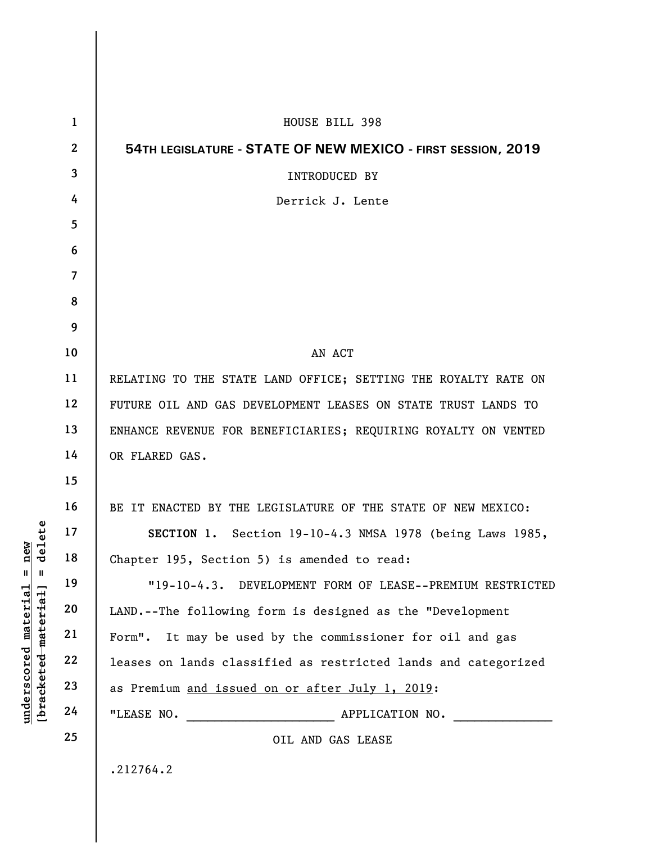| $\mathbf 1$  | HOUSE BILL 398                                                 |
|--------------|----------------------------------------------------------------|
| $\mathbf{2}$ | 54TH LEGISLATURE - STATE OF NEW MEXICO - FIRST SESSION, 2019   |
| 3            | INTRODUCED BY                                                  |
| 4            | Derrick J. Lente                                               |
| 5            |                                                                |
| 6            |                                                                |
| 7            |                                                                |
| 8            |                                                                |
| 9            |                                                                |
| 10           | AN ACT                                                         |
| 11           | RELATING TO THE STATE LAND OFFICE; SETTING THE ROYALTY RATE ON |
| 12           | FUTURE OIL AND GAS DEVELOPMENT LEASES ON STATE TRUST LANDS TO  |
| 13           | ENHANCE REVENUE FOR BENEFICIARIES; REQUIRING ROYALTY ON VENTED |
| 14           | OR FLARED GAS.                                                 |
| 15           |                                                                |
| 16           | BE IT ENACTED BY THE LEGISLATURE OF THE STATE OF NEW MEXICO:   |
| 17           | SECTION 1. Section 19-10-4.3 NMSA 1978 (being Laws 1985,       |
| 18           | Chapter 195, Section 5) is amended to read:                    |
| 19           | "19-10-4.3. DEVELOPMENT FORM OF LEASE--PREMIUM RESTRICTED      |
| 20           | LAND.--The following form is designed as the "Development      |
| 21           | Form". It may be used by the commissioner for oil and gas      |
| 22           | leases on lands classified as restricted lands and categorized |
| 23           | as Premium and issued on or after July 1, 2019:                |
| 24           | "LEASE NO.<br>APPLICATION NO.                                  |
| 25           | OIL AND GAS LEASE                                              |
|              | .212764.2                                                      |
|              |                                                                |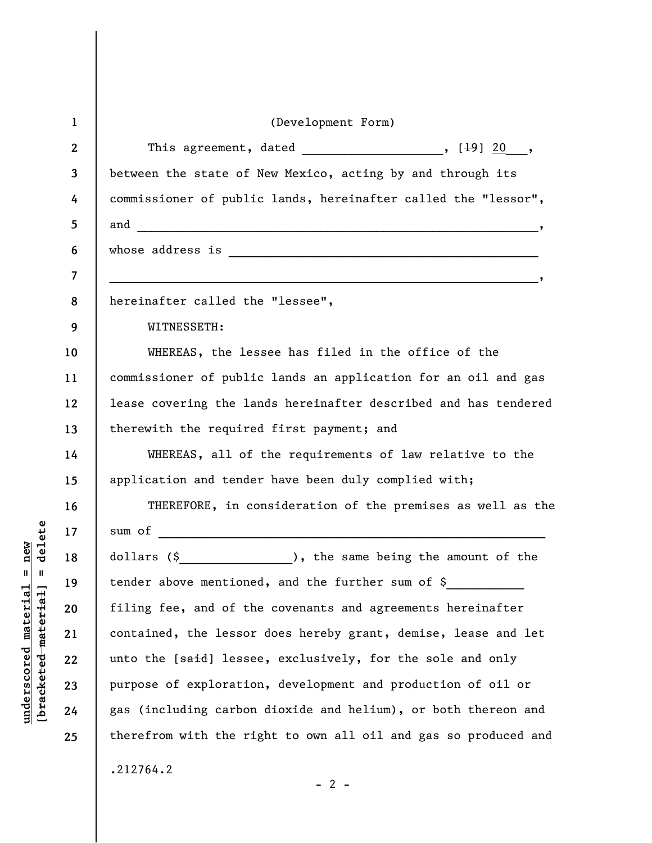| $\mathbf{1}$ | (Development Form)                                                                              |
|--------------|-------------------------------------------------------------------------------------------------|
| $\mathbf{2}$ | This agreement, dated $\frac{1}{1}$ , $\frac{1}{9}$ $\frac{20}{9}$ ,                            |
| 3            | between the state of New Mexico, acting by and through its                                      |
| 4            | commissioner of public lands, hereinafter called the "lessor",                                  |
| 5            |                                                                                                 |
| 6            |                                                                                                 |
| 7            | . The contract of the contract of the contract of the contract of the contract of $\mathcal{O}$ |
| 8            | hereinafter called the "lessee",                                                                |
| 9            | WITNESSETH:                                                                                     |
| 10           | WHEREAS, the lessee has filed in the office of the                                              |
| 11           | commissioner of public lands an application for an oil and gas                                  |
| 12           | lease covering the lands hereinafter described and has tendered                                 |
| 13           | therewith the required first payment; and                                                       |
| 14           | WHEREAS, all of the requirements of law relative to the                                         |
| 15           | application and tender have been duly complied with;                                            |
| 16           | THEREFORE, in consideration of the premises as well as the                                      |
| 17           |                                                                                                 |
| 18           | dollars (\$<br>______________________), the same being the amount of the                        |
| 19           | tender above mentioned, and the further sum of \$                                               |
| 20           | filing fee, and of the covenants and agreements hereinafter                                     |
| 21           | contained, the lessor does hereby grant, demise, lease and let                                  |
| 22           | unto the [said] lessee, exclusively, for the sole and only                                      |
| 23           | purpose of exploration, development and production of oil or                                    |
| 24           | gas (including carbon dioxide and helium), or both thereon and                                  |
| 25           | therefrom with the right to own all oil and gas so produced and                                 |
|              | .212764.2<br>$-2$ -                                                                             |

 $[bracketeed-materiat] = delete$ **[bracketed material] = delete**  $underscored material = new$ **underscored material = new**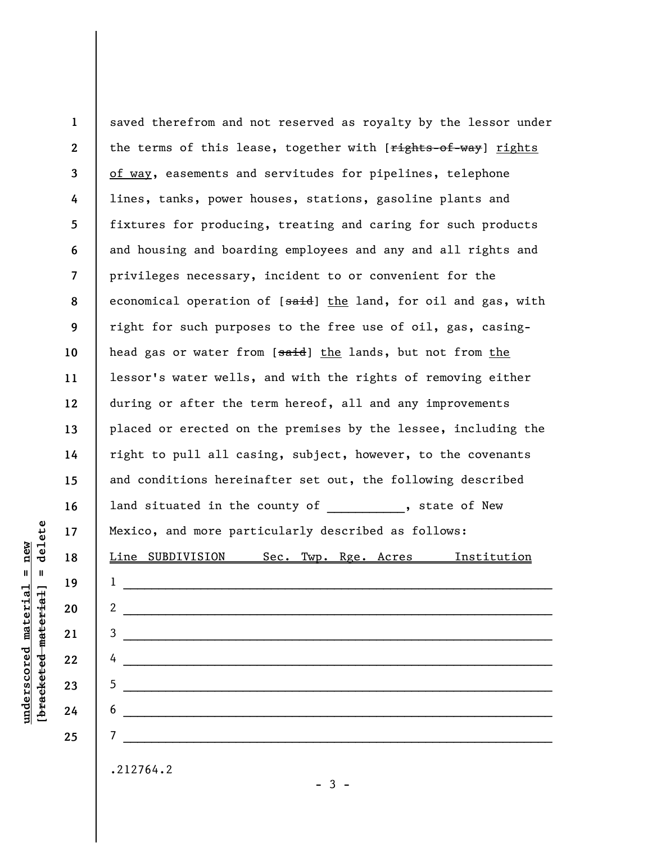**1 2 3 4 5 6 7 8 9 10 11 12 13 14 15 16 17 18 19 20 21 22 23 24 25**  saved therefrom and not reserved as royalty by the lessor under the terms of this lease, together with [rights-of-way] rights of way, easements and servitudes for pipelines, telephone lines, tanks, power houses, stations, gasoline plants and fixtures for producing, treating and caring for such products and housing and boarding employees and any and all rights and privileges necessary, incident to or convenient for the economical operation of [said] the land, for oil and gas, with right for such purposes to the free use of oil, gas, casinghead gas or water from [said] the lands, but not from the lessor's water wells, and with the rights of removing either during or after the term hereof, all and any improvements placed or erected on the premises by the lessee, including the right to pull all casing, subject, however, to the covenants and conditions hereinafter set out, the following described land situated in the county of the state of New Mexico, and more particularly described as follows: Line SUBDIVISION Sec. Twp. Rge. Acres Institution  $1$   $\overline{\phantom{a}}$ 2  $\frac{1}{2}$   $\frac{1}{2}$   $\frac{1}{2}$   $\frac{1}{2}$   $\frac{1}{2}$   $\frac{1}{2}$   $\frac{1}{2}$   $\frac{1}{2}$   $\frac{1}{2}$   $\frac{1}{2}$   $\frac{1}{2}$   $\frac{1}{2}$   $\frac{1}{2}$   $\frac{1}{2}$   $\frac{1}{2}$   $\frac{1}{2}$   $\frac{1}{2}$   $\frac{1}{2}$   $\frac{1}{2}$   $\frac{1}{2}$   $\frac{1}{2}$   $\frac{1}{2}$ 3 \_\_\_\_\_\_\_\_\_\_\_\_\_\_\_\_\_\_\_\_\_\_\_\_\_\_\_\_\_\_\_\_\_\_\_\_\_\_\_\_\_\_\_\_\_\_\_\_\_\_\_\_\_\_\_\_\_\_\_\_\_  $4$ 5 \_\_\_\_\_\_\_\_\_\_\_\_\_\_\_\_\_\_\_\_\_\_\_\_\_\_\_\_\_\_\_\_\_\_\_\_\_\_\_\_\_\_\_\_\_\_\_\_\_\_\_\_\_\_\_\_\_\_\_\_\_ 6 \_\_\_\_\_\_\_\_\_\_\_\_\_\_\_\_\_\_\_\_\_\_\_\_\_\_\_\_\_\_\_\_\_\_\_\_\_\_\_\_\_\_\_\_\_\_\_\_\_\_\_\_\_\_\_\_\_\_\_\_\_ 7 \_\_\_\_\_\_\_\_\_\_\_\_\_\_\_\_\_\_\_\_\_\_\_\_\_\_\_\_\_\_\_\_\_\_\_\_\_\_\_\_\_\_\_\_\_\_\_\_\_\_\_\_\_\_\_\_\_\_\_\_\_ .212764.2

delete **[bracketed material] = delete**  $anderscored material = new$ **underscored material = new**  $\mathbf{I}$ bracketed material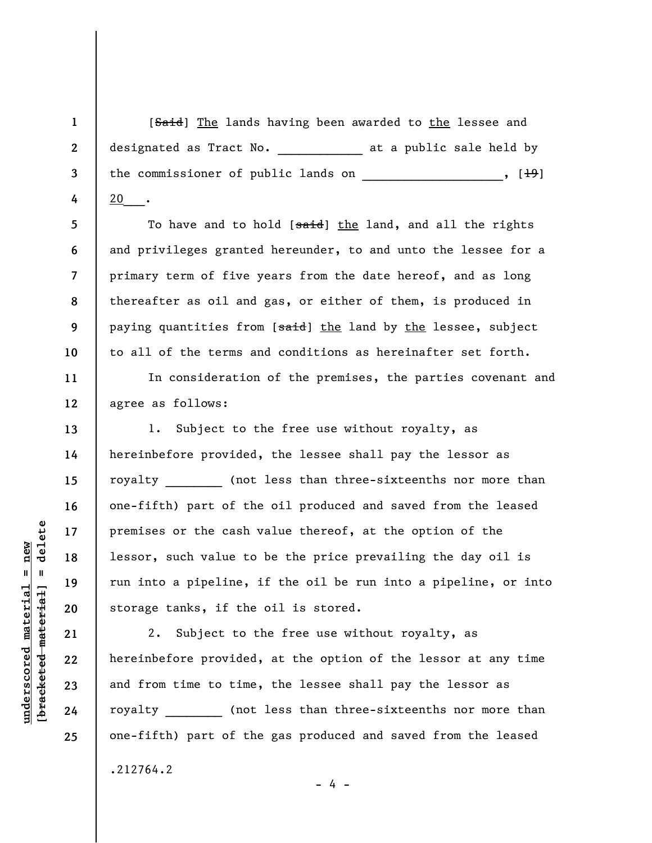[Said] The lands having been awarded to the lessee and designated as Tract No. \_\_\_\_\_\_\_\_\_\_\_\_\_\_ at a public sale held by the commissioner of public lands on \_\_\_\_\_\_\_\_\_\_\_\_\_\_\_\_, [<del>19</del>] 20 ·

To have and to hold [said] the land, and all the rights and privileges granted hereunder, to and unto the lessee for a primary term of five years from the date hereof, and as long thereafter as oil and gas, or either of them, is produced in paying quantities from [said] the land by the lessee, subject to all of the terms and conditions as hereinafter set forth.

In consideration of the premises, the parties covenant and agree as follows:

1. Subject to the free use without royalty, as hereinbefore provided, the lessee shall pay the lessor as royalty (not less than three-sixteenths nor more than one-fifth) part of the oil produced and saved from the leased premises or the cash value thereof, at the option of the lessor, such value to be the price prevailing the day oil is run into a pipeline, if the oil be run into a pipeline, or into storage tanks, if the oil is stored.

2. Subject to the free use without royalty, as hereinbefore provided, at the option of the lessor at any time and from time to time, the lessee shall pay the lessor as royalty (not less than three-sixteenths nor more than one-fifth) part of the gas produced and saved from the leased

.212764.2

- 4 -

delete **[bracketed material] = delete**  $underscored material = new$ **underscored material = new**  $\mathbf{I}$ bracketed material

**1** 

**2** 

**3** 

**4** 

**5** 

**6** 

**7** 

**8** 

**9** 

**10** 

**11** 

**12** 

**13** 

**14** 

**15** 

**16** 

**17** 

**18** 

**19** 

**20** 

**21** 

**22** 

**23** 

**24**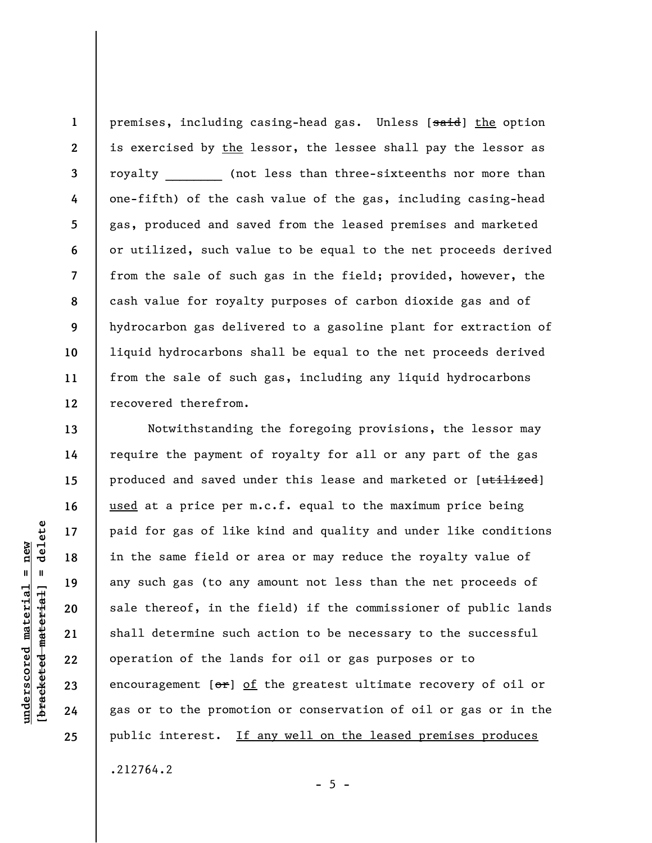premises, including casing-head gas. Unless [said] the option is exercised by the lessor, the lessee shall pay the lessor as royalty (not less than three-sixteenths nor more than one-fifth) of the cash value of the gas, including casing-head gas, produced and saved from the leased premises and marketed or utilized, such value to be equal to the net proceeds derived from the sale of such gas in the field; provided, however, the cash value for royalty purposes of carbon dioxide gas and of hydrocarbon gas delivered to a gasoline plant for extraction of liquid hydrocarbons shall be equal to the net proceeds derived from the sale of such gas, including any liquid hydrocarbons recovered therefrom.

Notwithstanding the foregoing provisions, the lessor may require the payment of royalty for all or any part of the gas produced and saved under this lease and marketed or [utilized] used at a price per m.c.f. equal to the maximum price being paid for gas of like kind and quality and under like conditions in the same field or area or may reduce the royalty value of any such gas (to any amount not less than the net proceeds of sale thereof, in the field) if the commissioner of public lands shall determine such action to be necessary to the successful operation of the lands for oil or gas purposes or to encouragement  $[ $\sigma$ **r**] of the greatest ultimate recovery of oil or$ gas or to the promotion or conservation of oil or gas or in the public interest. If any well on the leased premises produces

.212764.2

**underscored material = new [bracketed material] = delete**

 $\frac{1}{2}$  intereted material = delete  $underscored material = new$ 

**1** 

**2** 

**3** 

**4** 

**5** 

**6** 

**7** 

**8** 

**9** 

**10** 

**11** 

**12** 

**13** 

**14** 

**15** 

**16** 

**17** 

**18** 

**19** 

**20** 

**21** 

**22** 

**23** 

**24** 

**25** 

 $- 5 -$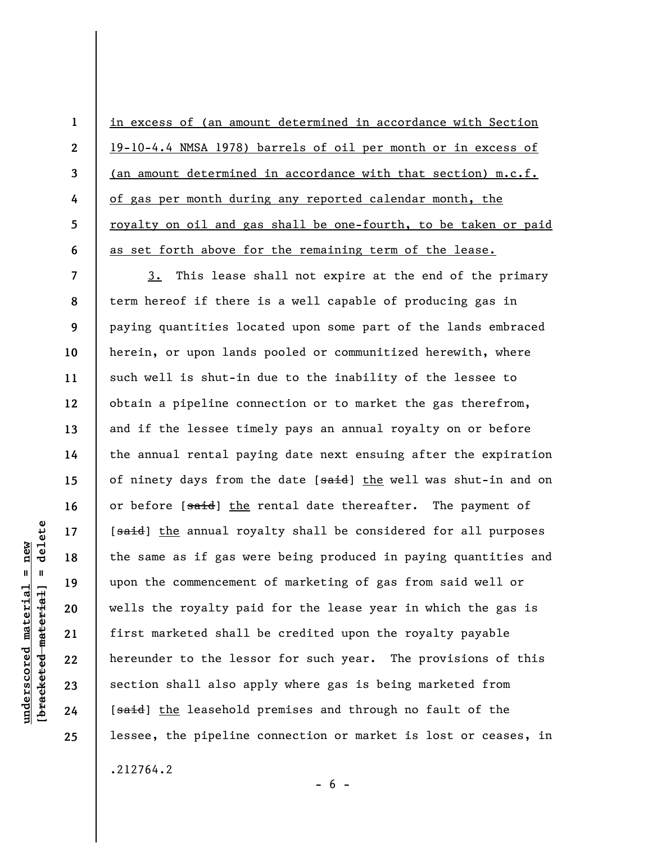in excess of (an amount determined in accordance with Section 19-10-4.4 NMSA 1978) barrels of oil per month or in excess of (an amount determined in accordance with that section) m.c.f. of gas per month during any reported calendar month, the royalty on oil and gas shall be one-fourth, to be taken or paid as set forth above for the remaining term of the lease.

3. This lease shall not expire at the end of the primary term hereof if there is a well capable of producing gas in paying quantities located upon some part of the lands embraced herein, or upon lands pooled or communitized herewith, where such well is shut-in due to the inability of the lessee to obtain a pipeline connection or to market the gas therefrom, and if the lessee timely pays an annual royalty on or before the annual rental paying date next ensuing after the expiration of ninety days from the date [said] the well was shut-in and on or before [said] the rental date thereafter. The payment of [said] the annual royalty shall be considered for all purposes the same as if gas were being produced in paying quantities and upon the commencement of marketing of gas from said well or wells the royalty paid for the lease year in which the gas is first marketed shall be credited upon the royalty payable hereunder to the lessor for such year. The provisions of this section shall also apply where gas is being marketed from [said] the leasehold premises and through no fault of the lessee, the pipeline connection or market is lost or ceases, in

.212764.2

**[bracketed material] = delete**  $anderscored material = new$ **underscored material = new** bracketed material

delete

 $\mathbf{I}$ 

**1** 

**2** 

**3** 

**4** 

**5** 

**6** 

**7** 

**8** 

**9** 

**10** 

**11** 

**12** 

**13** 

**14** 

**15** 

**16** 

**17** 

**18** 

**19** 

**20** 

**21** 

**22** 

**23** 

**24** 

**25** 

 $- 6 -$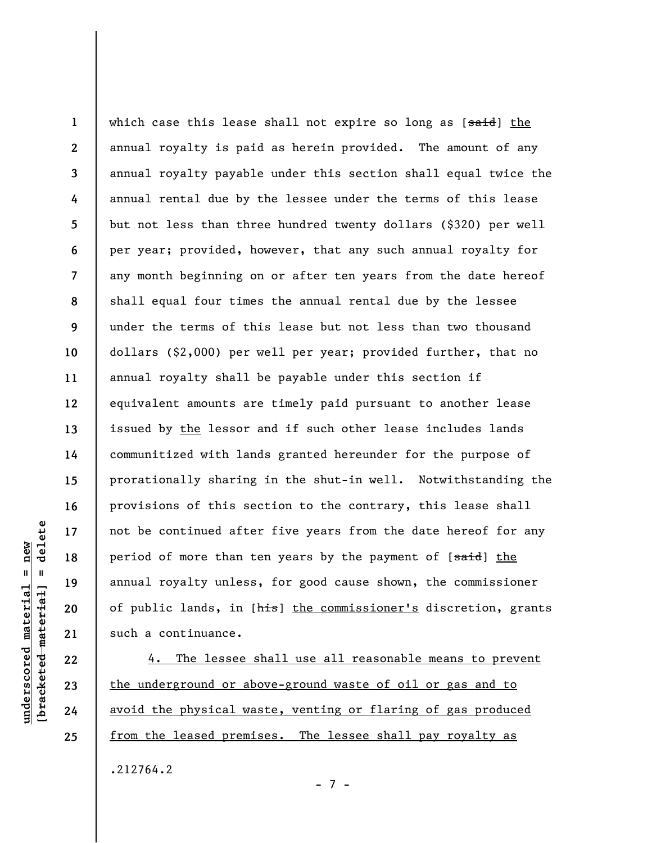**1 2 3 4 5 6 7 8 9 10 11 12 13 14 15 16 17 18 19 20 21**  which case this lease shall not expire so long as [said] the annual royalty is paid as herein provided. The amount of any annual royalty payable under this section shall equal twice the annual rental due by the lessee under the terms of this lease but not less than three hundred twenty dollars (\$320) per well per year; provided, however, that any such annual royalty for any month beginning on or after ten years from the date hereof shall equal four times the annual rental due by the lessee under the terms of this lease but not less than two thousand dollars (\$2,000) per well per year; provided further, that no annual royalty shall be payable under this section if equivalent amounts are timely paid pursuant to another lease issued by the lessor and if such other lease includes lands communitized with lands granted hereunder for the purpose of prorationally sharing in the shut-in well. Notwithstanding the provisions of this section to the contrary, this lease shall not be continued after five years from the date hereof for any period of more than ten years by the payment of [said] the annual royalty unless, for good cause shown, the commissioner of public lands, in [his] the commissioner's discretion, grants such a continuance.

4. The lessee shall use all reasonable means to prevent the underground or above-ground waste of oil or gas and to avoid the physical waste, venting or flaring of gas produced from the leased premises. The lessee shall pay royalty as

- 7 -

.212764.2

delete **[bracketed material] = delete**  $nderscored$  material = new **underscored material = new**  $\mathbf{I}$ bracketed material

**22** 

**23** 

**24**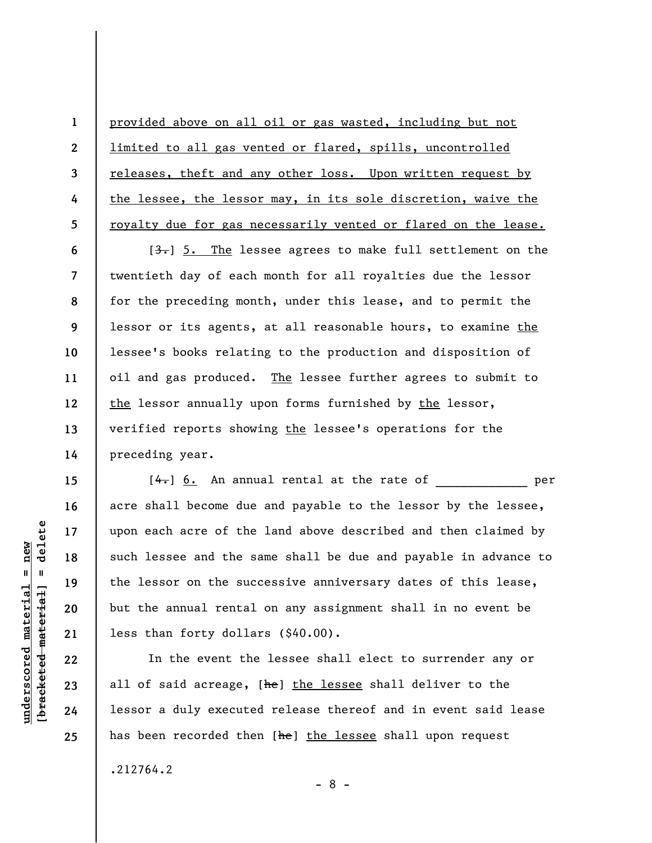provided above on all oil or gas wasted, including but not limited to all gas vented or flared, spills, uncontrolled releases, theft and any other loss. Upon written request by the lessee, the lessor may, in its sole discretion, waive the royalty due for gas necessarily vented or flared on the lease.

 $[3]$ . The lessee agrees to make full settlement on the twentieth day of each month for all royalties due the lessor for the preceding month, under this lease, and to permit the lessor or its agents, at all reasonable hours, to examine the lessee's books relating to the production and disposition of oil and gas produced. The lessee further agrees to submit to the lessor annually upon forms furnished by the lessor, verified reports showing the lessee's operations for the preceding year.

 $[4-]$  6. An annual rental at the rate of  $[$ acre shall become due and payable to the lessor by the lessee, upon each acre of the land above described and then claimed by such lessee and the same shall be due and payable in advance to the lessor on the successive anniversary dates of this lease, but the annual rental on any assignment shall in no event be less than forty dollars (\$40.00).

In the event the lessee shall elect to surrender any or all of said acreage, [he] the lessee shall deliver to the lessor a duly executed release thereof and in event said lease has been recorded then [he] the lessee shall upon request

- 8 -

.212764.2

delete **[bracketed material] = delete**  $anderscored material = new$ **underscored material = new**  $\mathbf{u}$ bracketed material

**1** 

**2** 

**3** 

**4** 

**5** 

**6** 

**7** 

**8** 

**9** 

**10** 

**11** 

**12** 

**13** 

**14** 

**15** 

**16** 

**17** 

**18** 

**19** 

**20** 

**21** 

**22** 

**23** 

**24**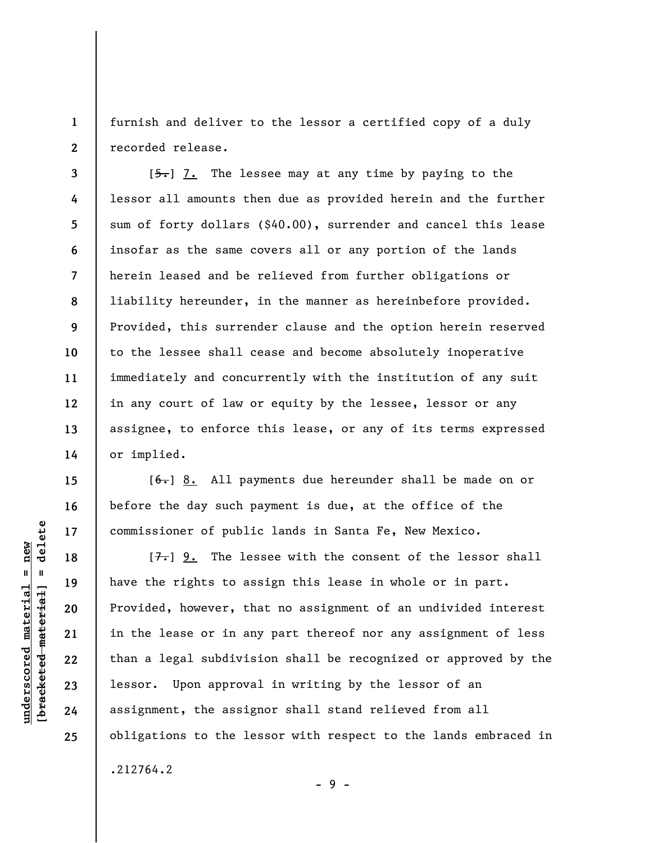**1 2**  furnish and deliver to the lessor a certified copy of a duly recorded release.

 $[5-]$  7. The lessee may at any time by paying to the lessor all amounts then due as provided herein and the further sum of forty dollars (\$40.00), surrender and cancel this lease insofar as the same covers all or any portion of the lands herein leased and be relieved from further obligations or liability hereunder, in the manner as hereinbefore provided. Provided, this surrender clause and the option herein reserved to the lessee shall cease and become absolutely inoperative immediately and concurrently with the institution of any suit in any court of law or equity by the lessee, lessor or any assignee, to enforce this lease, or any of its terms expressed or implied.

 $[6-]$  8. All payments due hereunder shall be made on or before the day such payment is due, at the office of the commissioner of public lands in Santa Fe, New Mexico.

 $[7-]$  9. The lessee with the consent of the lessor shall have the rights to assign this lease in whole or in part. Provided, however, that no assignment of an undivided interest in the lease or in any part thereof nor any assignment of less than a legal subdivision shall be recognized or approved by the lessor. Upon approval in writing by the lessor of an assignment, the assignor shall stand relieved from all obligations to the lessor with respect to the lands embraced in .212764.2

 $\frac{1}{2}$  intereted material = delete **[bracketed material] = delete**  $underscored$  material = new **underscored material = new**

**3** 

**4** 

**5** 

**6** 

**7** 

**8** 

**9** 

**10** 

**11** 

**12** 

**13** 

**14** 

**15** 

**16** 

**17** 

**18** 

**19** 

**20** 

**21** 

**22** 

**23** 

**24** 

**25** 

- 9 -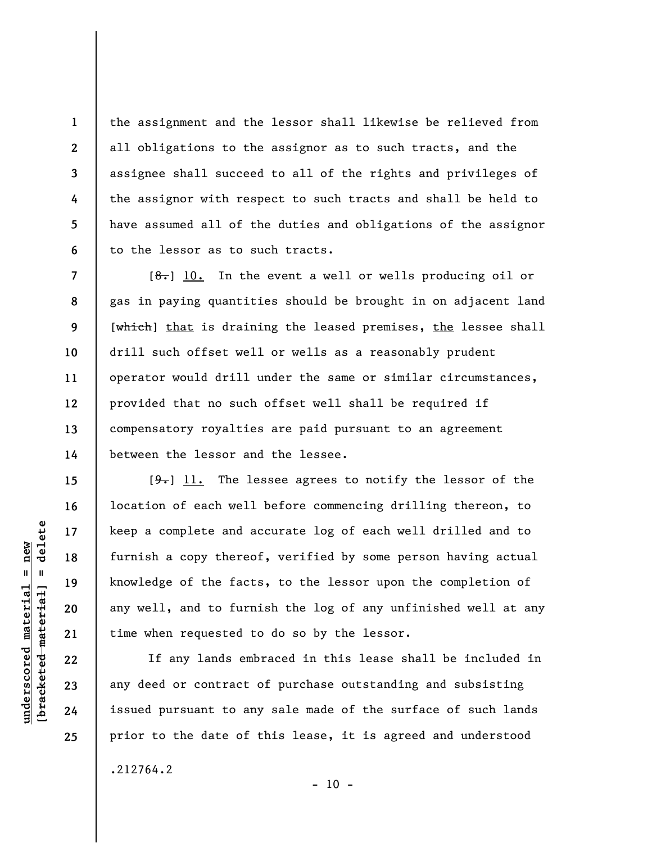the assignment and the lessor shall likewise be relieved from all obligations to the assignor as to such tracts, and the assignee shall succeed to all of the rights and privileges of the assignor with respect to such tracts and shall be held to have assumed all of the duties and obligations of the assignor to the lessor as to such tracts.

 $[8-]$  10. In the event a well or wells producing oil or gas in paying quantities should be brought in on adjacent land [which] that is draining the leased premises, the lessee shall drill such offset well or wells as a reasonably prudent operator would drill under the same or similar circumstances, provided that no such offset well shall be required if compensatory royalties are paid pursuant to an agreement between the lessor and the lessee.

 $[9-]$  11. The lessee agrees to notify the lessor of the location of each well before commencing drilling thereon, to keep a complete and accurate log of each well drilled and to furnish a copy thereof, verified by some person having actual knowledge of the facts, to the lessor upon the completion of any well, and to furnish the log of any unfinished well at any time when requested to do so by the lessor.

If any lands embraced in this lease shall be included in any deed or contract of purchase outstanding and subsisting issued pursuant to any sale made of the surface of such lands prior to the date of this lease, it is agreed and understood

.212764.2

 $\frac{1}{2}$  intereted material = delete **[bracketed material] = delete**  $nderscored$  material = new **underscored material = new**

**1** 

**2** 

**3** 

**4** 

**5** 

**6** 

**7** 

**8** 

**9** 

**10** 

**11** 

**12** 

**13** 

**14** 

**15** 

**16** 

**17** 

**18** 

**19** 

**20** 

**21** 

**22** 

**23** 

**24**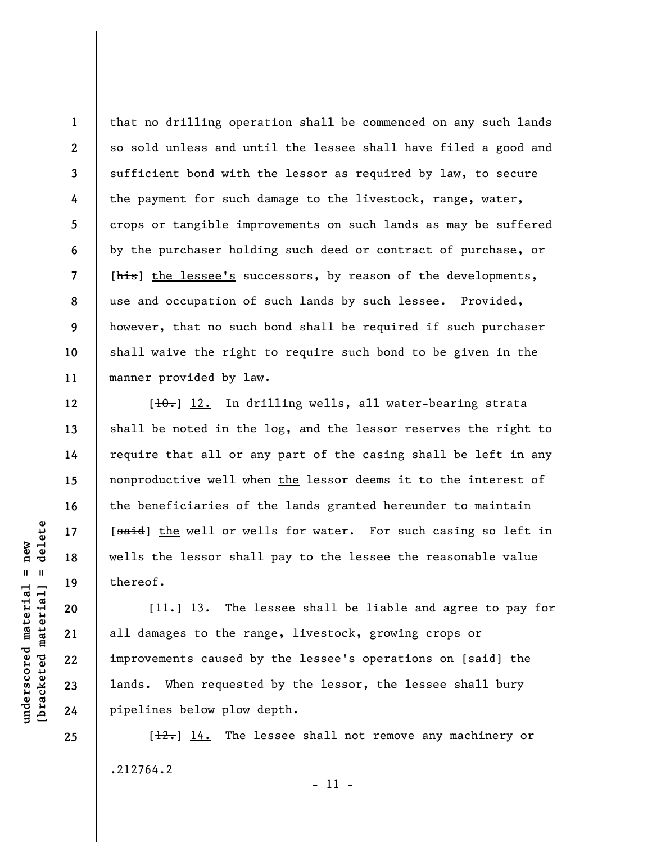**1 2 3 4 5 6 7 8 9 10 11**  that no drilling operation shall be commenced on any such lands so sold unless and until the lessee shall have filed a good and sufficient bond with the lessor as required by law, to secure the payment for such damage to the livestock, range, water, crops or tangible improvements on such lands as may be suffered by the purchaser holding such deed or contract of purchase, or [his] the lessee's successors, by reason of the developments, use and occupation of such lands by such lessee. Provided, however, that no such bond shall be required if such purchaser shall waive the right to require such bond to be given in the manner provided by law.

[ $10.$ ] 12. In drilling wells, all water-bearing strata shall be noted in the log, and the lessor reserves the right to require that all or any part of the casing shall be left in any nonproductive well when the lessor deems it to the interest of the beneficiaries of the lands granted hereunder to maintain [said] the well or wells for water. For such casing so left in wells the lessor shall pay to the lessee the reasonable value thereof.

 $[\frac{11}{11}]$  13. The lessee shall be liable and agree to pay for all damages to the range, livestock, growing crops or improvements caused by the lessee's operations on [said] the lands. When requested by the lessor, the lessee shall bury pipelines below plow depth.

 $[\frac{12.1}{14}]$  The lessee shall not remove any machinery or .212764.2 - 11 -

 $\frac{1}{2}$  of  $\frac{1}{2}$  and  $\frac{1}{2}$  and  $\frac{1}{2}$  and  $\frac{1}{2}$  and  $\frac{1}{2}$  and  $\frac{1}{2}$  and  $\frac{1}{2}$  and  $\frac{1}{2}$  and  $\frac{1}{2}$  and  $\frac{1}{2}$  and  $\frac{1}{2}$  and  $\frac{1}{2}$  and  $\frac{1}{2}$  and  $\frac{1}{2}$  and  $\frac{1}{2}$  an **[bracketed material] = delete**  $underscored material = new$ **underscored material = new**

**25** 

**12** 

**13** 

**14** 

**15** 

**16** 

**17** 

**18** 

**19** 

**20** 

**21** 

**22** 

**23**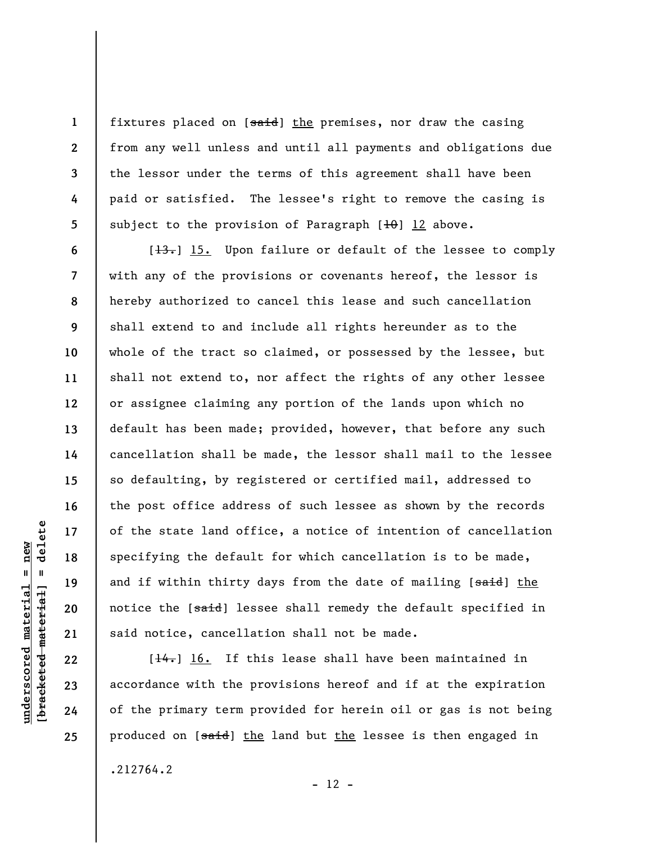fixtures placed on [said] the premises, nor draw the casing from any well unless and until all payments and obligations due the lessor under the terms of this agreement shall have been paid or satisfied. The lessee's right to remove the casing is subject to the provision of Paragraph  $[10]$   $12$  above.

 $[\frac{13}{13}]$  15. Upon failure or default of the lessee to comply with any of the provisions or covenants hereof, the lessor is hereby authorized to cancel this lease and such cancellation shall extend to and include all rights hereunder as to the whole of the tract so claimed, or possessed by the lessee, but shall not extend to, nor affect the rights of any other lessee or assignee claiming any portion of the lands upon which no default has been made; provided, however, that before any such cancellation shall be made, the lessor shall mail to the lessee so defaulting, by registered or certified mail, addressed to the post office address of such lessee as shown by the records of the state land office, a notice of intention of cancellation specifying the default for which cancellation is to be made, and if within thirty days from the date of mailing [said] the notice the [said] lessee shall remedy the default specified in said notice, cancellation shall not be made.

 $[\frac{14}{16}]$  16. If this lease shall have been maintained in accordance with the provisions hereof and if at the expiration of the primary term provided for herein oil or gas is not being produced on [said] the land but the lessee is then engaged in

 $- 12 -$ 

.212764.2

delete **[bracketed material] = delete**  $nderscored$  material = new **underscored material = new**  $\mathbf{u}$ bracketed material

**1** 

**2** 

**3** 

**4** 

**5** 

**6** 

**7** 

**8** 

**9** 

**10** 

**11** 

**12** 

**13** 

**14** 

**15** 

**16** 

**17** 

**18** 

**19** 

**20** 

**21** 

**22** 

**23** 

**24**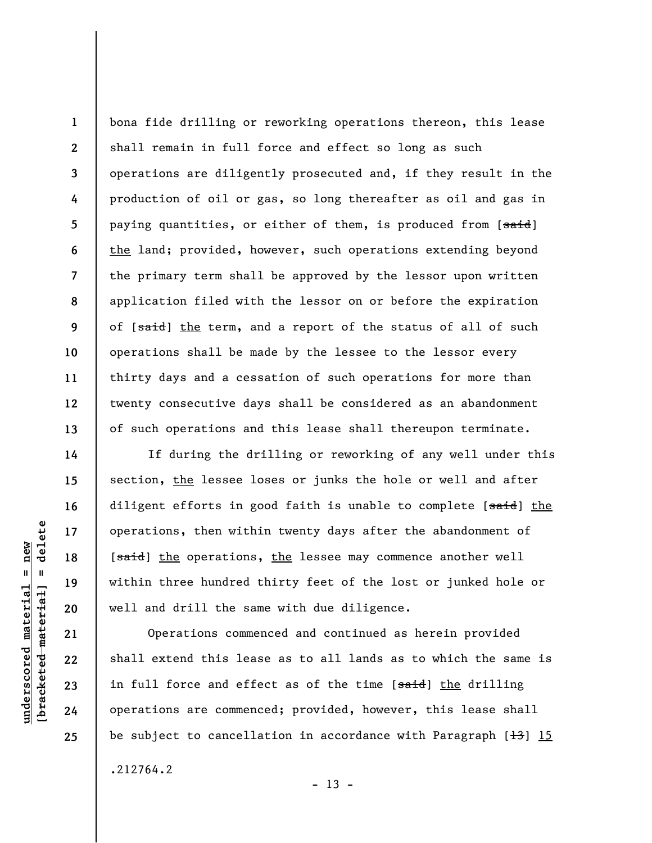**1 2 3 4 5 6 7 8 9 10 11 12 13**  bona fide drilling or reworking operations thereon, this lease shall remain in full force and effect so long as such operations are diligently prosecuted and, if they result in the production of oil or gas, so long thereafter as oil and gas in paying quantities, or either of them, is produced from [said] the land; provided, however, such operations extending beyond the primary term shall be approved by the lessor upon written application filed with the lessor on or before the expiration of [said] the term, and a report of the status of all of such operations shall be made by the lessee to the lessor every thirty days and a cessation of such operations for more than twenty consecutive days shall be considered as an abandonment of such operations and this lease shall thereupon terminate.

If during the drilling or reworking of any well under this section, the lessee loses or junks the hole or well and after diligent efforts in good faith is unable to complete [said] the operations, then within twenty days after the abandonment of [said] the operations, the lessee may commence another well within three hundred thirty feet of the lost or junked hole or well and drill the same with due diligence.

Operations commenced and continued as herein provided shall extend this lease as to all lands as to which the same is in full force and effect as of the time [said] the drilling operations are commenced; provided, however, this lease shall be subject to cancellation in accordance with Paragraph  $[13]$  15 .212764.2

 $- 13 -$ 

**14** 

**15** 

**16** 

**17** 

**18** 

**19** 

**20** 

**21** 

**22** 

**23** 

**24**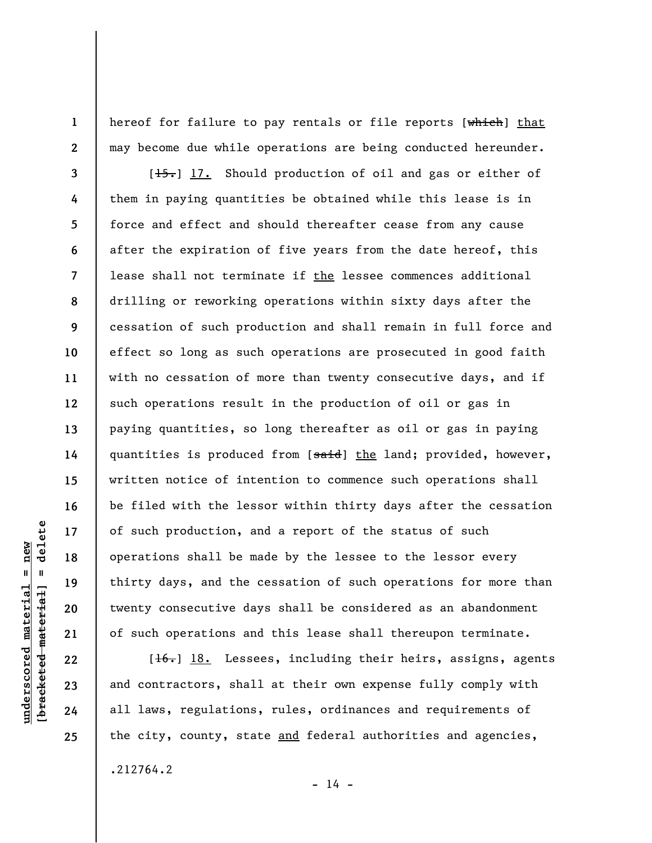hereof for failure to pay rentals or file reports [which] that may become due while operations are being conducted hereunder.

 $[\frac{15}{15}]$  17. Should production of oil and gas or either of them in paying quantities be obtained while this lease is in force and effect and should thereafter cease from any cause after the expiration of five years from the date hereof, this lease shall not terminate if the lessee commences additional drilling or reworking operations within sixty days after the cessation of such production and shall remain in full force and effect so long as such operations are prosecuted in good faith with no cessation of more than twenty consecutive days, and if such operations result in the production of oil or gas in paying quantities, so long thereafter as oil or gas in paying quantities is produced from [said] the land; provided, however, written notice of intention to commence such operations shall be filed with the lessor within thirty days after the cessation of such production, and a report of the status of such operations shall be made by the lessee to the lessor every thirty days, and the cessation of such operations for more than twenty consecutive days shall be considered as an abandonment of such operations and this lease shall thereupon terminate.

[16.] 18. Lessees, including their heirs, assigns, agents and contractors, shall at their own expense fully comply with all laws, regulations, rules, ordinances and requirements of the city, county, state and federal authorities and agencies,

delete **[bracketed material] = delete**  $underscored material = new$ **underscored material = new**  $\mathbf{I}$ bracketed material

**24 25** 

**1** 

**2** 

**3** 

**4** 

**5** 

**6** 

**7** 

**8** 

**9** 

**10** 

**11** 

**12** 

**13** 

**14** 

**15** 

**16** 

**17** 

**18** 

**19** 

**20** 

**21** 

**22** 

**23** 

.212764.2

 $- 14 -$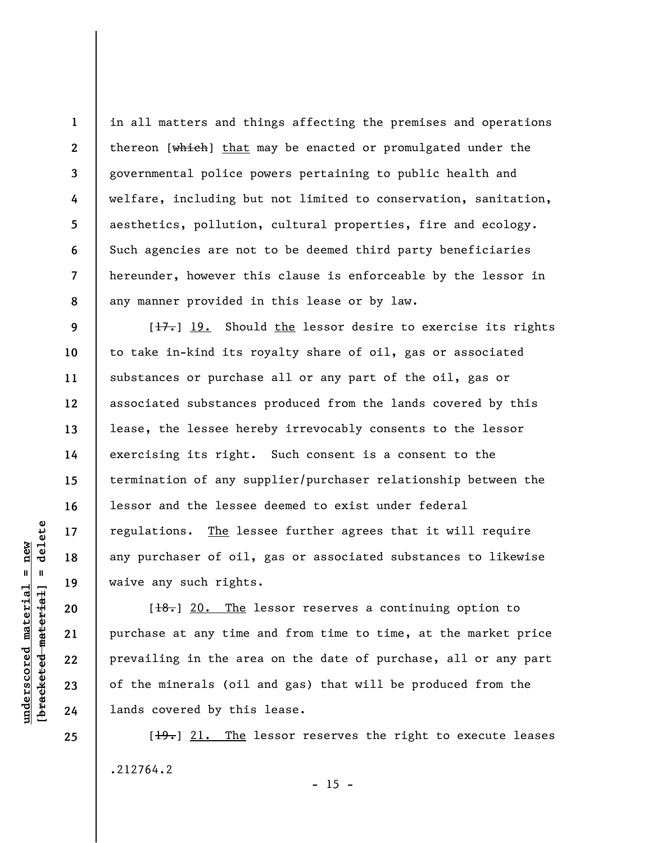**1 2 3 4 5 6 7 8**  in all matters and things affecting the premises and operations thereon [which] that may be enacted or promulgated under the governmental police powers pertaining to public health and welfare, including but not limited to conservation, sanitation, aesthetics, pollution, cultural properties, fire and ecology. Such agencies are not to be deemed third party beneficiaries hereunder, however this clause is enforceable by the lessor in any manner provided in this lease or by law.

 $[\frac{17}{17}]$  19. Should the lessor desire to exercise its rights to take in-kind its royalty share of oil, gas or associated substances or purchase all or any part of the oil, gas or associated substances produced from the lands covered by this lease, the lessee hereby irrevocably consents to the lessor exercising its right. Such consent is a consent to the termination of any supplier/purchaser relationship between the lessor and the lessee deemed to exist under federal regulations. The lessee further agrees that it will require any purchaser of oil, gas or associated substances to likewise waive any such rights.

 $[\frac{18.}{18}]$  20. The lessor reserves a continuing option to purchase at any time and from time to time, at the market price prevailing in the area on the date of purchase, all or any part of the minerals (oil and gas) that will be produced from the lands covered by this lease.

 $[19]$  21. The lessor reserves the right to execute leases .212764.2  $- 15 -$ 

delete **[bracketed material] = delete**  $underscored material = new$ **underscored material = new**  $\frac{1}{2}$ 

**9** 

**10** 

**11** 

**12** 

**13** 

**14** 

**15** 

**16** 

**17** 

**18** 

**19** 

**20** 

**21** 

**22** 

**23** 

**24**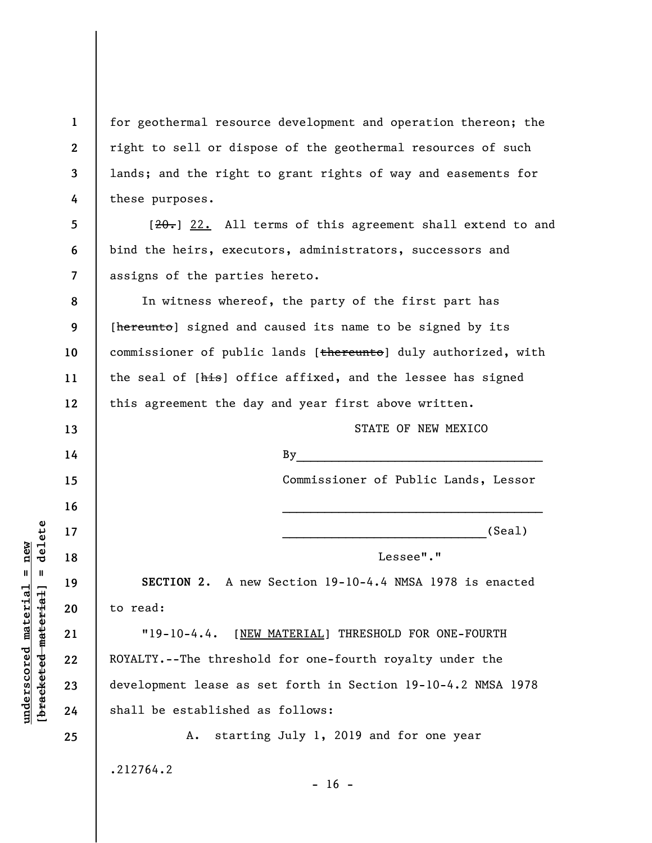**1 2 3 4**  for geothermal resource development and operation thereon; the right to sell or dispose of the geothermal resources of such lands; and the right to grant rights of way and easements for these purposes.

 $[20]$  22. All terms of this agreement shall extend to and bind the heirs, executors, administrators, successors and assigns of the parties hereto.

**8 9 10 11 12**  In witness whereof, the party of the first part has [hereunto] signed and caused its name to be signed by its commissioner of public lands [thereunto] duly authorized, with the seal of [his] office affixed, and the lessee has signed this agreement the day and year first above written.

STATE OF NEW MEXICO

Commissioner of Public Lands, Lessor

 $\mathcal{L}_\text{max}$  and  $\mathcal{L}_\text{max}$  and  $\mathcal{L}_\text{max}$  and  $\mathcal{L}_\text{max}$ 

 $\mathop{\rm By}\nolimits$ 

 $(Sea1)$ 

Lessee"."

**SECTION 2**. A new Section 19-10-4.4 NMSA 1978 is enacted to read:

"19-10-4.4. [NEW MATERIAL] THRESHOLD FOR ONE-FOURTH ROYALTY.--The threshold for one-fourth royalty under the development lease as set forth in Section 19-10-4.2 NMSA 1978 shall be established as follows:

A. starting July 1, 2019 and for one year

 $- 16 -$ 

.212764.2

 $\frac{1}{2}$  of  $\frac{1}{2}$  and  $\frac{1}{2}$  and  $\frac{1}{2}$  and  $\frac{1}{2}$  and  $\frac{1}{2}$  and  $\frac{1}{2}$  and  $\frac{1}{2}$  and  $\frac{1}{2}$  and  $\frac{1}{2}$  and  $\frac{1}{2}$  and  $\frac{1}{2}$  and  $\frac{1}{2}$  and  $\frac{1}{2}$  and  $\frac{1}{2}$  and  $\frac{1}{2}$  an **[bracketed material] = delete**  $underscored material = new$ **underscored material = new**

**5** 

**6** 

**7** 

**13** 

**14** 

**15** 

**16** 

**17** 

**18** 

**19** 

**20** 

**21** 

**22** 

**23** 

**24**